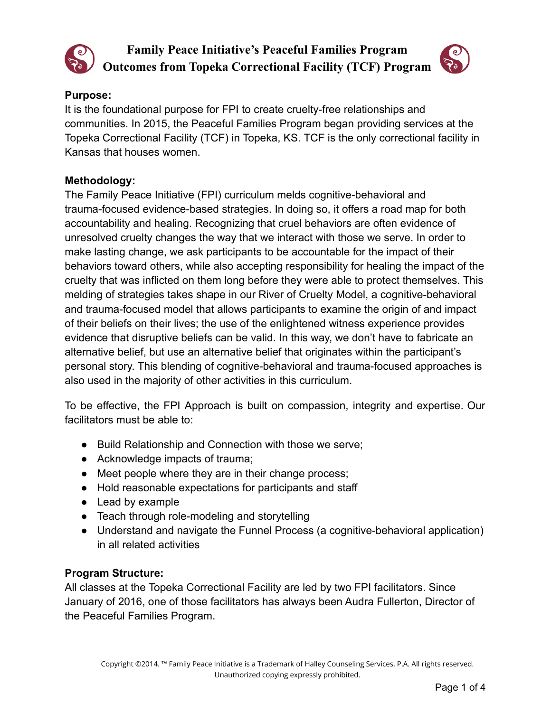

# **Family Peace Initiative's Peaceful Families Program Outcomes from Topeka Correctional Facility (TCF) Program**



## **Purpose:**

It is the foundational purpose for FPI to create cruelty-free relationships and communities. In 2015, the Peaceful Families Program began providing services at the Topeka Correctional Facility (TCF) in Topeka, KS. TCF is the only correctional facility in Kansas that houses women.

## **Methodology:**

The Family Peace Initiative (FPI) curriculum melds cognitive-behavioral and trauma-focused evidence-based strategies. In doing so, it offers a road map for both accountability and healing. Recognizing that cruel behaviors are often evidence of unresolved cruelty changes the way that we interact with those we serve. In order to make lasting change, we ask participants to be accountable for the impact of their behaviors toward others, while also accepting responsibility for healing the impact of the cruelty that was inflicted on them long before they were able to protect themselves. This melding of strategies takes shape in our River of Cruelty Model, a cognitive-behavioral and trauma-focused model that allows participants to examine the origin of and impact of their beliefs on their lives; the use of the enlightened witness experience provides evidence that disruptive beliefs can be valid. In this way, we don't have to fabricate an alternative belief, but use an alternative belief that originates within the participant's personal story. This blending of cognitive-behavioral and trauma-focused approaches is also used in the majority of other activities in this curriculum.

To be effective, the FPI Approach is built on compassion, integrity and expertise. Our facilitators must be able to:

- Build Relationship and Connection with those we serve;
- Acknowledge impacts of trauma;
- Meet people where they are in their change process;
- Hold reasonable expectations for participants and staff
- Lead by example
- Teach through role-modeling and storytelling
- Understand and navigate the Funnel Process (a cognitive-behavioral application) in all related activities

# **Program Structure:**

All classes at the Topeka Correctional Facility are led by two FPI facilitators. Since January of 2016, one of those facilitators has always been Audra Fullerton, Director of the Peaceful Families Program.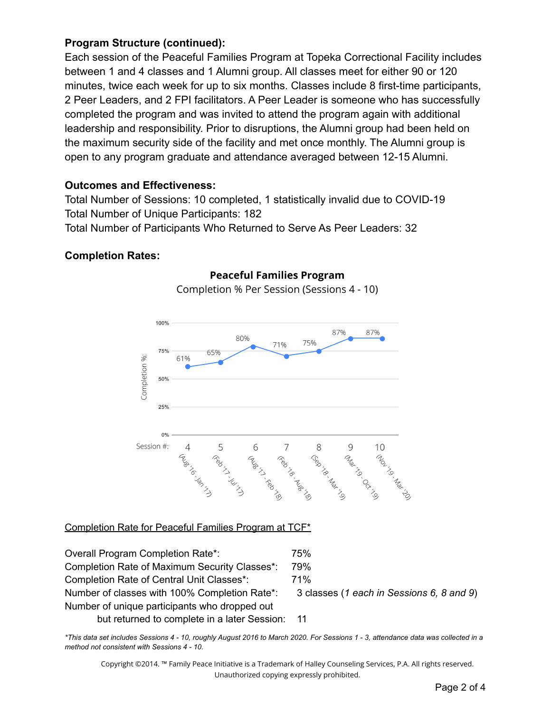## **Program Structure (continued):**

Each session of the Peaceful Families Program at Topeka Correctional Facility includes between 1 and 4 classes and 1 Alumni group. All classes meet for either 90 or 120 minutes, twice each week for up to six months. Classes include 8 first-time participants, 2 Peer Leaders, and 2 FPI facilitators. A Peer Leader is someone who has successfully completed the program and was invited to attend the program again with additional leadership and responsibility. Prior to disruptions, the Alumni group had been held on the maximum security side of the facility and met once monthly. The Alumni group is open to any program graduate and attendance averaged between 12-15 Alumni.

#### **Outcomes and Effectiveness:**

Total Number of Sessions: 10 completed, 1 statistically invalid due to COVID-19 Total Number of Unique Participants: 182

Total Number of Participants Who Returned to Serve As Peer Leaders: 32

#### **Completion Rates:**



#### **Peaceful Families Program**

Completion % Per Session (Sessions 4 - 10)

## Completion Rate for Peaceful Families Program at TCF\*

Overall Program Completion Rate\*: 75% Completion Rate of Maximum Security Classes\*: 79% Completion Rate of Central Unit Classes\*: 71% Number of classes with 100% Completion Rate\*: 3 classes (*1 each in Sessions 6, 8 and 9*) Number of unique participants who dropped out but returned to complete in a later Session: 11

\*This data set includes Sessions 4 - 10, roughly August 2016 to March 2020. For Sessions 1 - 3, attendance data was collected in a *method not consistent with Sessions 4 - 10.*

Copyright ©2014. ™ Family Peace Initiative is a Trademark of Halley Counseling Services, P.A. All rights reserved. Unauthorized copying expressly prohibited.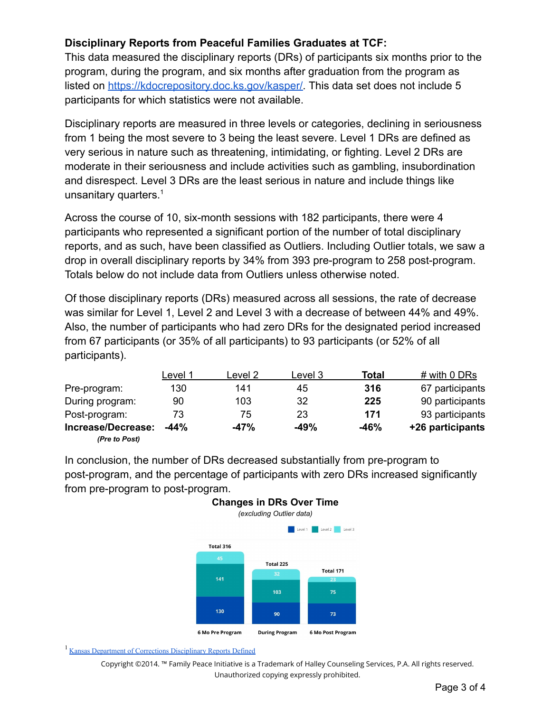## **Disciplinary Reports from Peaceful Families Graduates at TCF:**

This data measured the disciplinary reports (DRs) of participants six months prior to the program, during the program, and six months after graduation from the program as listed on [https://kdocrepository.doc.ks.gov/kasper/.](https://kdocrepository.doc.ks.gov/kasper/) This data set does not include 5 participants for which statistics were not available.

Disciplinary reports are measured in three levels or categories, declining in seriousness from 1 being the most severe to 3 being the least severe. Level 1 DRs are defined as very serious in nature such as threatening, intimidating, or fighting. Level 2 DRs are moderate in their seriousness and include activities such as gambling, insubordination and disrespect. Level 3 DRs are the least serious in nature and include things like unsanitary quarters.<sup>1</sup>

Across the course of 10, six-month sessions with 182 participants, there were 4 participants who represented a significant portion of the number of total disciplinary reports, and as such, have been classified as Outliers. Including Outlier totals, we saw a drop in overall disciplinary reports by 34% from 393 pre-program to 258 post-program. Totals below do not include data from Outliers unless otherwise noted.

Of those disciplinary reports (DRs) measured across all sessions, the rate of decrease was similar for Level 1, Level 2 and Level 3 with a decrease of between 44% and 49%. Also, the number of participants who had zero DRs for the designated period increased from 67 participants (or 35% of all participants) to 93 participants (or 52% of all participants).

|                                     | Level 1 | Level 2 | Level 3 | Total  | # with 0 DRs     |
|-------------------------------------|---------|---------|---------|--------|------------------|
| Pre-program:                        | 130     | 141     | 45      | 316    | 67 participants  |
| During program:                     | 90      | 103     | 32      | 225    | 90 participants  |
| Post-program:                       | 73      | 75      | 23      | 171    | 93 participants  |
| Increase/Decrease:<br>(Pre to Post) | $-44%$  | $-47%$  | $-49%$  | $-46%$ | +26 participants |

In conclusion, the number of DRs decreased substantially from pre-program to post-program, and the percentage of participants with zero DRs increased significantly from pre-program to post-program.



<sup>1</sup> Kansas Department of Corrections [Disciplinary](https://www.doc.ks.gov/victim-services/information/disciplinary-reports) Reports Defined

Copyright ©2014. ™ Family Peace Initiative is a Trademark of Halley Counseling Services, P.A. All rights reserved. Unauthorized copying expressly prohibited.

## **Changes in DRs Over Time** *(excluding Outlier data)*